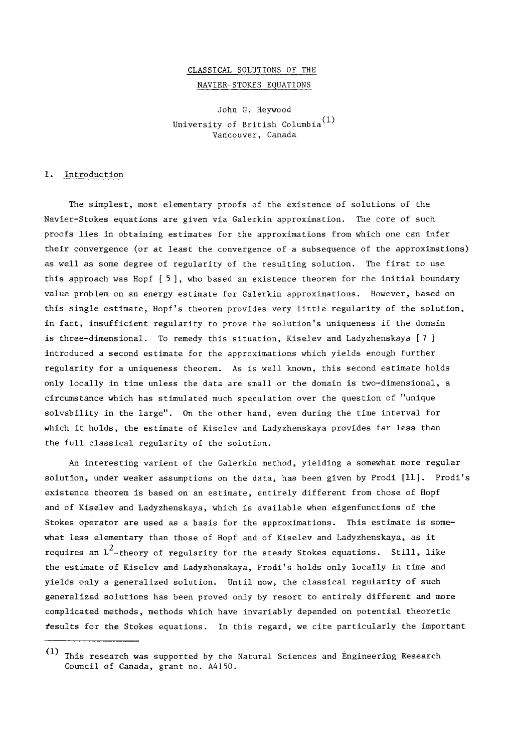# CLASSICAL SOLUTIONS OF THE NAVIER-STOKES EQUATIONS

John G. Heywood University of British Columbia (1) Vancouver, Canada

### 1. Introduction

The simplest, most elementary proofs of the existence of solutions of the Navier-Stokes equations are given via Galerkin approximation. The core of such proofs lies in obtaining estimates for the approximations from which one can infer their convergence (or at least the convergence of a subsequence of the approximations) as well as some degree of regularity of the resulting solution. The first to use this approach was Hopf [ 5 ], who based an existence theorem for the initial boundary value problem on an energy estimate for Galerkin approximations. However, based on this single estimate, Hopf's theorem provides very little regularity of the solution, in fact, insufficient regularity to prove the solution's uniqueness if the domain is three-dimensional. To remedy this situation, Kiselev and Ladyzhenskaya [ 7 ] introduced a second estimate for the approximations which yields enough further regularity for a uniqueness theorem. As is well known, this second estimate holds only locally in time unless the data are small or the domain is two-dimensional, a circumstance which has stimulated much speculation over the question of "unique solvability in the large". On the other hand, even during the time interval for which it holds, the estimate of Kiselev and Ladyzhenskaya provides far less than the full classical regularity of the solution.

An interesting varient of the Galerkin method, yielding a somewhat more regular solution, under weaker assumptions on the data, has been given by Prodi [11]. Prodi's existence theorem is based on an estimate, entirely different from those of Hopf and of Kiselev and Ladyzhenskaya, which is available when eigenfunctions of the Stokes operator are used as a basis for the approximations. This estimate is somewhat less elementary than those of Hopf and of Kiselev and Ladyzhenskaya, as it requires an  $L^2$ -theory of regularity for the steady Stokes equations. Still, like the estimate of Kiselev and Ladyzhenskaya, Prodi's holds only locally in time and yields only a generalized solution. Until now, the classical regularity of such generalized solutions has been proved only by resort to entirely different and more complicated methods, methods which have invariably depended on potential theoretic results for the Stokes equations. In this regard, we cite particularly the important

<sup>(</sup>I) This research was supported by the Natural Sciences and Engineering Research Council of Canada, grant no. A4150.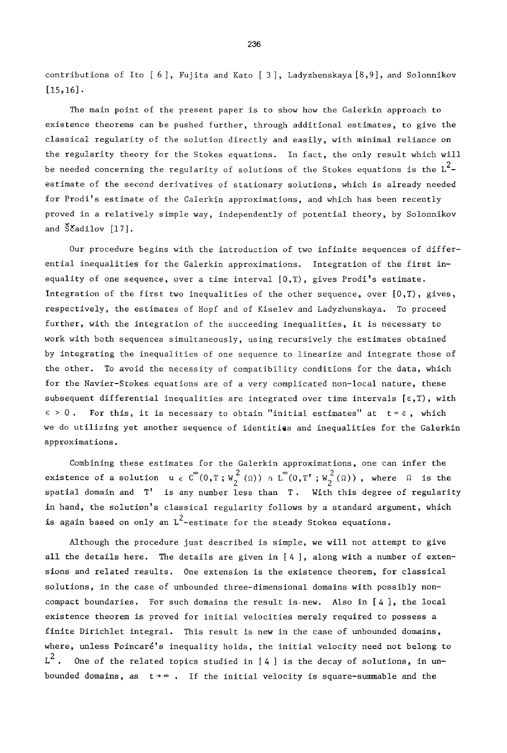contributions of Ito [ 6 ], Fujita and Kato [ 3 ], Ladyzhenskaya [8,9], and Solonnikov  $[15, 16]$ .

The main point of the present paper is to show how the Galerkin approach to existence theorems can be pushed further, through additional estimates, to give the classical regularity of the solution directly and easily, with minimal reliance on the regularity theory for the Stokes equations. In fact, the only result which will be needed concerning the regularity of solutions of the Stokes equations is the  $L^2$ estimate of the second derivatives of stationary solutions, which is already needed for Prodi's estimate of the Galerkin approximations, and which has been recently proved in a relatively simple way, independently of potential theory, by Solonnikov and  $\delta$  adilov [17].

Our procedure begins with the introduction of two infinite sequences of differential inequalities for the Galerkin approximations. Integration of the first inequality of one sequence, over a time interval [0,T), gives Prodi's estimate. Integration of the first two inequalities of the other sequence, over  $[0,T)$ , gives, respectively, the estimates of Hopf and of Kiselev and Ladyzhenskaya. To proceed further, with the integration of the succeeding inequalities, it is necessary to work with both sequences simultaneously, using recursively the estimates obtained by integrating the inequalities of one sequence to linearize and integrate those of the other. To avoid the necessity of compatibility conditions for the data, which for the Navier-Stokes equations are of a very complicated non-local nature, these subsequent differential inequalities are integrated over time intervals  $[\epsilon, T)$ , with  $\varepsilon > 0$ . For this, it is necessary to obtain "initial estimates" at  $t = \varepsilon$ , which we do utilizing yet another sequence of identities and inequalities for the Galerkin approximations.

Combining these estimates for the Galerkin approximations, one can infer the existence of a solution  $u \in C^{\infty}(0,T;W_2^{2}({\Omega})) \cap L^{\infty}(0,T^*;W_2^{2}({\Omega}))$ , where  $\Omega$  is the spatial domain and T' is any number less than T. With this degree of regularity in hand, the solution's classical regularity follows by a standard argument, which is again based on only an  $L^2$ -estimate for the steady Stokes equations.

Although the procedure just described is simple, we will not attempt to give all the details here. The details are given in [ 4 ], along with a number of extensions and related results. One extension is the existence theorem, for classical solutions, in the case of unbounded three-dimensional domains with possibly noncompact boundaries. For such domains the result is new. Also in  $[4]$ , the local existence theorem is proved for initial velocities merely required to possess a finite Dirichlet integral. This result is new in the case of unbounded domains, where, unless Poincaré's inequality holds, the initial velocity need not belong to  $L^2$ . One of the related topics studied in [4] is the decay of solutions, in unbounded domains, as  $t \rightarrow \infty$ . If the initial velocity is square-summable and the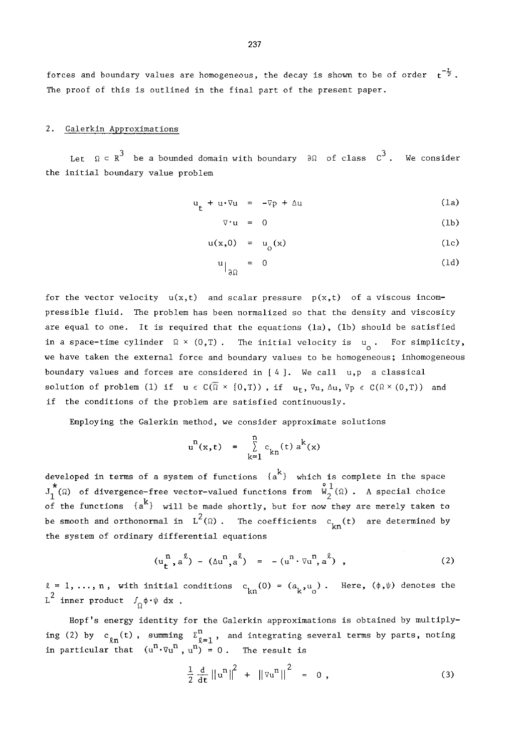#### 2. Galerkin Approximations

Let  $\Omega \subseteq \mathbb{R}^+$  be a bounded domain with boundary  $\partial \Omega$  of class  $\mathbb{C}^*$ . We consider the initial boundary value problem

$$
\mathbf{u}_{t} + \mathbf{u} \cdot \nabla \mathbf{u} = -\nabla p + \Delta \mathbf{u}
$$
 (1a)

$$
\nabla \cdot \mathbf{u} = 0 \tag{1b}
$$

$$
u(x,0) = u_0(x) \tag{1c}
$$

$$
u\Big|_{\partial\Omega} = 0 \tag{1d}
$$

for the vector velocity  $u(x,t)$  and scalar pressure  $p(x,t)$  of a viscous incompressible fluid. The problem has been normalized so that the density and viscosity are equal to one. It is required that the equations (la), (ib) should be satisfied in a space-time cylinder  $\Omega \times (0,T)$  . The initial velocity is  $\begin{array}{cc} u & \text{for simplicity,} \\ 0 & \text{otherwise.} \end{array}$ we have taken the external force and boundary values to be homogeneous; inhomogeneous boundary values and forces are considered in [ 4 ]. We call u,p a classical solution of problem (1) if  $u \in C(\overline{\Omega} \times [0,T))$  , if  $u_t$ ,  $\nabla u$ ,  $\Delta u$ ,  $\nabla p \in C(\Omega \times (0,T))$  and if the conditions of the problem are satisfied continuously.

Employing the Galerkin method, we consider approximate solutions

$$
u^{n}(x, t) = \sum_{k=1}^{n} c_{kn}(t) a^{k}(x)
$$

developed in terms of a system of functions {a~} which is complete in the space<br>J<sup>\*</sup>(Q) of divergence-free vector-valued functions from  $\stackrel{\circ}{W}^1_\alpha(\Omega)$ . A special choice of the functions  $\{a^k\}$  will be made shortly, but for now they are merely taken to be smooth and orthonormal in  $L^2(\Omega)$ . The coefficients  $c_{kn}(t)$  are determined by the system of ordinary differential equations

$$
(u_{t}^{n}, a^{\ell}) - (\Delta u^{n}, a^{\ell}) = -(u^{n} \cdot \nabla u^{n}, a^{\ell}), \qquad (2)
$$

 $\ell = 1, \ldots, n$ , with initial conditions  $c_{kn}(0) = (a_k, u_0)$ . Here,  $(\phi, \psi)$  denotes the  $L^2$  inner product  $\int_{\Omega} \phi \cdot \psi \ dx$ .

Hopf's energy identity for the Galerkin approximations is obtained by multiplying (2) by  $c_{n}(\tau)$ , summing  $\sum_{i=1}^{n}$ , and integrating several terms by parts, noting in particular that  $(u^{\ast}\cdot\triangledown u^{\ast\ast}, u^{\ast\ast}) = 0$  . The result is

$$
\frac{1}{2} \frac{d}{dt} ||u^n||^2 + ||\nabla u^n||^2 = 0 , \qquad (3)
$$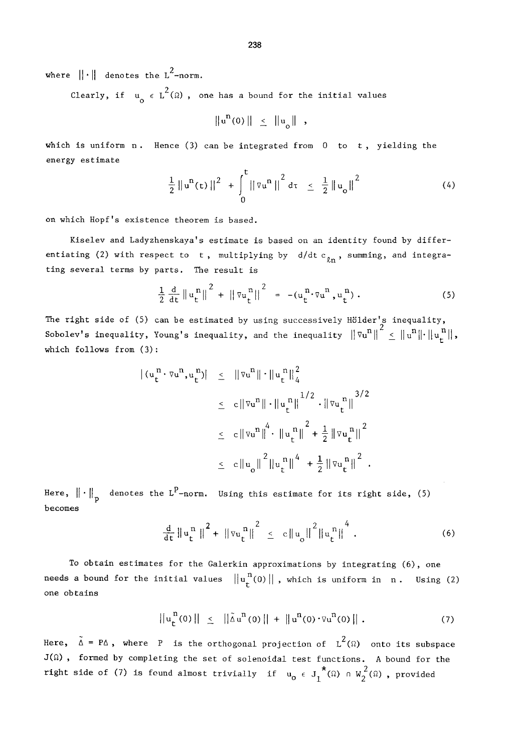where  $\|\cdot\|$  denotes the L<sup>2</sup>-norm.

Clearly, if  $u_a \in L^2(\Omega)$ , one has a bound for the initial values

 $||u^n(0)|| \leq ||u_n||$ ,

which is uniform  $n$ . Hence (3) can be integrated from 0 to t, yielding the energy estimate

$$
\frac{1}{2} \|u^{n}(t)\|^{2} + \int_{0}^{t} ||\nabla u^{n}||^{2} d\tau \leq \frac{1}{2} \|u_{0}\|^{2}
$$
 (4)

on which Hopf's existence theorem is based.

Kiselev and Ladyzhenskaya's estimate is based on an identity found by differentiating (2) with respect to t, multiplying by  $d/dt c_{\ln}$ , summing, and integrating several terms by parts. The result is

$$
\frac{1}{2} \frac{d}{dt} ||u_t^n||^2 + ||\nabla u_t^n||^2 = -(u_t^n \cdot \nabla u^n, u_t^n).
$$
 (5)

The right side of (5) can be estimated by using successively Hölder's inequality, Sobolev's inequality, Young's inequality, and the inequality  $\|\nabla u^n\|^2 \leq \|u^n\| \cdot \|u_r^n\|$ , which follows from  $(3)$ :

$$
\begin{array}{rcl} |(u_{t}^{n} \cdot \nabla u^{n}, u_{t}^{n})| & \leq & \left\| \nabla u^{n} \right\| \cdot \left\| u_{t}^{n} \right\|_{4}^{2} \\ \\ & \leq & c \left\| \nabla u^{n} \right\| \cdot \left\| u_{t}^{n} \right\|^{1/2} \cdot \left\| \nabla u_{t}^{n} \right\|^{3/2} \\ \\ & \leq & c \left\| \nabla u^{n} \right\|^{4} \cdot \left\| u_{t}^{n} \right\|^{2} + \frac{1}{2} \left\| \nabla u_{t}^{n} \right\|^{2} \\ \\ & \leq & c \left\| u_{o} \right\|^{2} \left\| u_{t}^{n} \right\|^{4} + \frac{1}{2} \left\| \nabla u_{t}^{n} \right\|^{2} .\end{array}
$$

Here,  $\|\cdot\|_{p}$  denotes the L<sup>P</sup>-norm. Using this estimate for its right side, (5) becomes

$$
\frac{d}{dt} \|u_t^n\|^2 + \|v_u^n\|^2 \leq c \|u_0\|^2 \|u_t^n\|^4.
$$
 (6)

To obtain estimates for the Galerkin approximations by integrating (6), one needs a bound for the initial values  $||u_t^n(0)||$ , which is uniform in n. Using (2) one obtains

$$
\|u_t^{n}(0)\| \leq \|\tilde{\Delta} u^{n}(0)\| + \|u^{n}(0) \cdot \nabla u^{n}(0)\|.
$$
 (7)

Here,  $\tilde{\Delta} = P\Delta$ , where P is the orthogonal projection of  $L^2(\Omega)$  onto its subspace  $J(\Omega)$ , formed by completing the set of solenoidal test functions. A bound for the right side of (7) is found almost trivially if  $u_0 \in J_1^{\star}(\Omega) \cap W_2^2(\Omega)$ , provided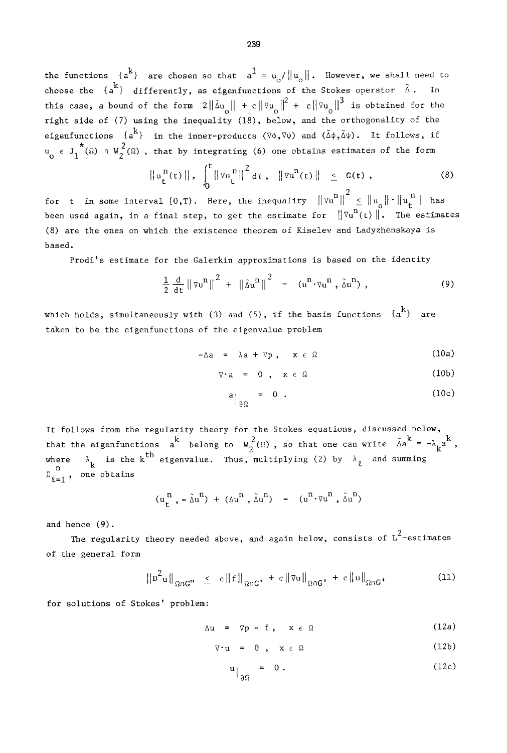the functions  $\{a^k\}$  are chosen so that  $a^1 = u_0 / ||u_0||$ . However, we shall need to choose the  $\{a^k\}$  differently, as eigenfunctions of the Stokes operator  $\tilde{\Delta}$ . In this case, a bound of the form  $2\|\tilde{\Delta}u_{\circ}\| + c\|\tilde{\Delta}u_{\circ}\|^2 + c\|\tilde{\Delta}u_{\circ}\|^3$  is obtained for the right side of (7) using the inequality (18), below, and the orthogonality of the eigenfunctions  $\{a^{k}\}\$  in the inner-products  $(\nabla \phi, \nabla \psi)$  and  $(\tilde{\Delta}\phi, \tilde{\Delta}\psi)$ . It follows, if  $u_{0} \in J_{1}^{*}(\Omega) \cap W_{2}^{2}(\Omega)$ , that by integrating (6) one obtains estimates of the form

$$
\|u_t^n(t)\|, \int_0^t \|\nabla u_t^n\|^2 d\tau, \|\nabla u^n(t)\| \leq G(t), \qquad (8)
$$

for t in some interval  $[0, T)$ . Here, the inequality  $\|\nabla u^n\|^2 \leq \|u_0\| \cdot \|u_r^{\{n\}}\|$  has been used again, in a final step, to get the estimate for  $\|\nabla u^n(t)\|$ . The estimates (8) are the ones on which the existence theorem of Kiselev and Ladyzhenskaya is based.

Prodi's estimate for the Galerkin approximations is based on the identity

$$
\frac{1}{2} \frac{d}{dt} ||\nabla u^n||^2 + ||\tilde{\Delta} u^n||^2 = (u^n \cdot \nabla u^n, \tilde{\Delta} u^n), \qquad (9)
$$

which holds, simultaneously with (3) and (5), if the basis functions  $\{a^{K}\}\$  are taken to be the eigenfunctions of the eigenvalue problem

$$
-\Delta a = \lambda a + \nabla p, \quad x \in \Omega \tag{10a}
$$

$$
\nabla \cdot \mathbf{a} = 0, \quad \mathbf{x} \in \Omega \tag{10b}
$$

$$
a_{\big|_{\partial\Omega}} = 0 \tag{10c}
$$

It follows from the regularity theory for the Stokes equations, discussed below, that the eigenfunctions  $a^*$  belong to  $W_{\alpha}(\Omega)$ , so that one can write  $\Delta a^* = -\lambda_1 a$  . where  $\lambda$ , is the k the eigenvalue. Thus, multiplying (2) by  $\lambda$  and summing  $\sum_{n=1}^{\infty}$ , one obtains

$$
(u_t^n, -\tilde{\Delta}u^n) + (\Delta u^n, \tilde{\Delta}u^n) = (u^n \cdot \nabla u^n, \tilde{\Delta}u^n)
$$

and hence (9).

The regularity theory needed above, and again below, consists of  $L^2$ -estimates of the general form

$$
\|D^2 u\|_{\Omega \cap G^{\prime\prime}} \leq c \|f\|_{\Omega \cap G^{\prime}} + c \|vu\|_{\Omega \cap G^{\prime}} + c \|u\|_{\Omega \cap G^{\prime}} \tag{11}
$$

for solutions of Stokes' problem:

$$
\Delta u = \nabla p - f, \quad x \in \Omega \tag{12a}
$$

$$
\nabla \cdot \mathbf{u} = 0, \quad \mathbf{x} \in \Omega \tag{12b}
$$

$$
\mathbf{u}\Big|_{\partial\Omega} = 0. \tag{12c}
$$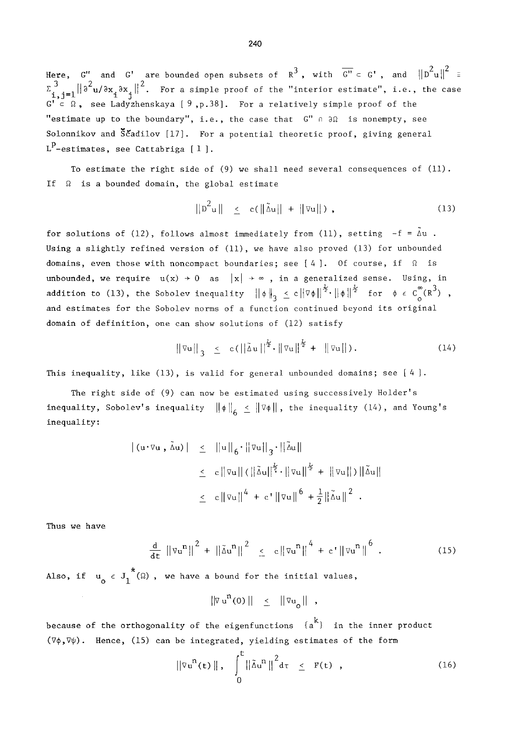Here, G" and G' are bounded open subsets of  $R^3$ , with  $\overline{G''} \subset G'$ , and  $\left\|D^2u\right\|^2 =$  $\sum_{i,j=1}^{3} ||\partial^2 u/\partial x_j \partial x_j||^2$ . For a simple proof of the "interior estimate", i.e., the case  $G' \subset \Omega$ , see Ladyzhenskaya [ 9, p.38]. For a relatively simple proof of the "estimate up to the boundary", i.e., the case that  $G''$   $\cap$   $\partial\Omega$  is nonempty, see Solonnikov and  $\check{S}$ cadilov [17]. For a potential theoretic proof, giving general  $\tt L^p$ -estimates, see Cattabriga [ $1$ ].

To estimate the right side of  $(9)$  we shall need several consequences of  $(11)$ . If  $\Omega$  is a bounded domain, the global estimate

$$
\|\mathbf{D}^2\mathbf{u}\| \leq \mathbf{c}(\|\mathbf{\tilde{\Delta}}\mathbf{u}\| + \|\mathbf{\nabla}\mathbf{u}\|) \tag{13}
$$

for solutions of (12), follows almost immediately from (11), setting  $-f = \tilde{\Delta} u$ . Using a slightly refined version of (11), we have also proved (13) for unbounded domains, even those with noncompact boundaries; see  $[4]$ . Of course, if  $\Omega$  is unbounded, we require  $u(x) \rightarrow 0$  as  $|x| \rightarrow \infty$ , in a generalized sense. Using, in addition to (13), the Sobolev inequality  $\|\phi\|_3 \le c \|\nabla \phi\|^{1/2} \cdot \|\phi\|^{1/2}$  for  $\phi \in C_0^{\infty}(\mathbb{R}^3)$ , and estimates for the Sobolev norms of a function continued beyond its original domain of definition, one can show solutions of (12) satisfy

$$
\|\nabla u\|_{3} \leq c(\|\tilde{\Delta} u\|^{2} \cdot \|\nabla u\|^{2} + \|\nabla u\|).
$$
 (14)

This inequality, like  $(13)$ , is valid for general unbounded domains; see [4].

The right side of (9) can now be estimated using successively Holder's inequality, Sobolev's inequality  $\|\phi\|_{6} \leq \|\nabla \phi\|$ , the inequality (14), and Young's inequality:

$$
\begin{array}{rcl} |(\mathbf{u} \cdot \nabla \mathbf{u} , \tilde{\Delta} \mathbf{u})| & \leq & ||\mathbf{u}||_6 \cdot ||\nabla \mathbf{u}||_3 \cdot ||\tilde{\Delta} \mathbf{u}|| \\ & \leq & c \, ||\nabla \mathbf{u}|| \left( \left\| \tilde{\Delta} \mathbf{u} \right\| ^{\frac{1}{2}} \cdot ||\nabla \mathbf{u}||^{\frac{1}{2}} + \left\| \nabla \mathbf{u} || \right\| \right) ||\tilde{\Delta} \mathbf{u}|| \\ & \leq & c \, ||\nabla \mathbf{u}||^4 + c \, ||\nabla \mathbf{u}||^6 + \frac{1}{2} ||\tilde{\Delta} \mathbf{u}||^2 \, . \end{array}
$$

Thus we have

$$
\frac{d}{dt} \left\| \nu u^{n} \right\|^{2} + \left\| \tilde{\Delta} u^{n} \right\|^{2} \leq c \left\| \nu u^{n} \right\|^{4} + c \left\| \nu u^{n} \right\|^{6} . \tag{15}
$$

Also, if  $u_{0} \in J_1^{*}(\Omega)$ , we have a bound for the initial values,

$$
\|\nabla \mathbf{u}^{\mathrm{n}}(0)\| \leq \|\nabla \mathbf{u}_{\mathrm{n}}\| ,
$$

because of the orthogonality of the eigenfunctions  $\{a^{k}\}\$  in the inner product  $(\nabla \phi, \nabla \psi)$ . Hence, (15) can be integrated, yielding estimates of the form

$$
\|\nabla u^{n}(t)\|, \quad \int_{0}^{t} \|\tilde{\Delta} u^{n}\|^{2} d\tau \leq F(t) , \qquad (16)
$$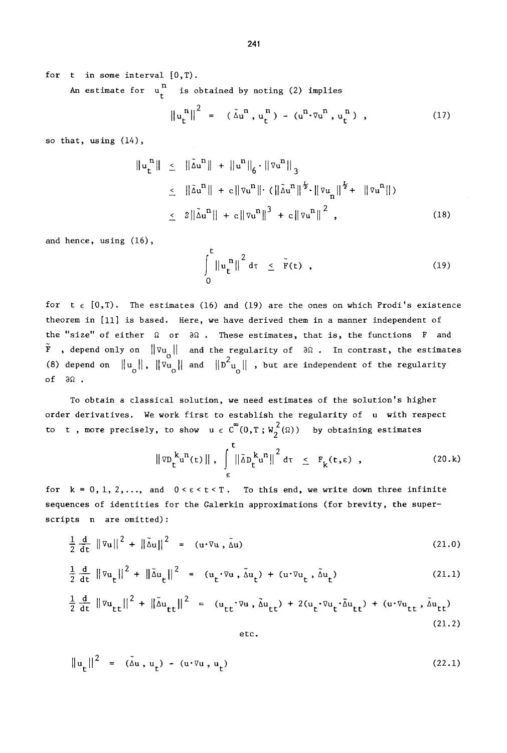for t in some interval  $(0,T)$ .

An estimate for  $u_t^n$  is obtained by noting (2) implies

$$
\left\|u_{t}^{n}\right\|^{2} = (\tilde{\Delta} u^{n}, u_{t}^{n}) - (u^{n} \cdot \nabla u^{n}, u_{t}^{n}), \qquad (17)
$$

so that, using (14).

$$
\|u_{t}^{n}\| \leq \|\tilde{\Delta}u^{n}\| + \|u^{n}\|_{6} \cdot \|\nabla u^{n}\|_{3}
$$
  
\n
$$
\leq \|\tilde{\Delta}u^{n}\| + c\|\nabla u^{n}\| \cdot (\|\tilde{\Delta}u^{n}\|^{2} \cdot \|\nabla u_{n}\|^{2} + \|\nabla u^{n}\|)
$$
  
\n
$$
\leq 2\|\tilde{\Delta}u^{n}\| + c\|\nabla u^{n}\|^{3} + c\|\nabla u^{n}\|^{2}, \qquad (18)
$$

and hence, using (16),

$$
\int_{0}^{t} \left\|u_{t}^{n}\right\|^{2} d\tau \leq \tilde{F}(t) , \qquad (19)
$$

for  $t \in [0,T)$ . The estimates (16) and (19) are the ones on which Prodi's existence theorem in [11] is based. Here, we have derived them in a manner independent of the "size" of either  $\Omega$  or  $\partial\Omega$ . These estimates, that is, the functions F and  $\tilde{F}$  , depend only on  $\|\nabla u_{\alpha}\|$  and the regularity of  $\partial \tilde{u}$ . In contrast, the estimates (8) depend on  $\|u_{\alpha}\|$ ,  $\|\overline{v_{u_{\alpha}}}\|$  and  $\|D^2u_{\alpha}\|$  , but are independent of the regularity of  $\partial \Omega$ .

To obtain a classical solution, we need estimates of the solution's higher order derivatives. We work first to establish the regularity of u with respect to t, more precisely, to show  $u \in C^{0}(0,T;W_{2}^{2}(\Omega))$  by obtaining estimates

$$
\|\nabla D_t^k u^n(t)\|, \int_{\epsilon}^t \|\tilde{\Delta} D_t^k u^n\|^2 d\tau \leq F_k(t,\epsilon) , \qquad (20.k)
$$

for  $k = 0, 1, 2, \ldots$ , and  $0 \le \epsilon \le t \le T$ . To this end, we write down three infinite sequences of identities for the Galerkin approximations (for brevity, the superscripts n are omitted):

$$
\frac{1}{2} \frac{d}{dt} ||\nabla u||^2 + ||\tilde{\Delta} u||^2 = (u \cdot \nabla u, \tilde{\Delta} u)
$$
 (21.0)

$$
\frac{1}{2} \frac{d}{dt} ||\nabla u_t||^2 + ||\tilde{\Delta} u_t||^2 = (u_t \cdot \nabla u, \tilde{\Delta} u_t) + (u \cdot \nabla u_t, \tilde{\Delta} u_t)
$$
 (21.1)

$$
\frac{1}{2} \frac{d}{dt} ||\nabla u_{tt}||^2 + ||\tilde{\Delta} u_{tt}||^2 = (u_{tt} \cdot \nabla u, \tilde{\Delta} u_{tt}) + 2(u_t \cdot \nabla u_t \cdot \tilde{\Delta} u_{tt}) + (u \cdot \nabla u_{tt}, \tilde{\Delta} u_{tt})
$$
\n(21.2)

etc.

$$
\|u_t\|^2 = (\tilde{\Delta}u, u_t) - (u \cdot \nabla u, u_t)
$$
 (22.1)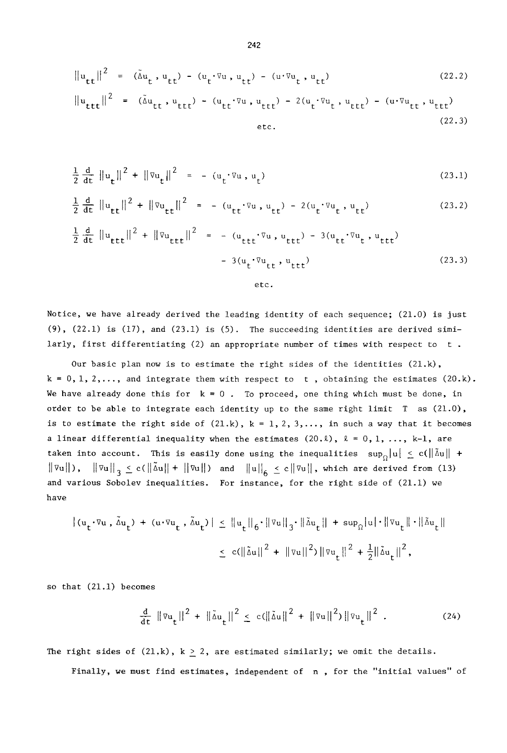$$
||u_{tt}||^2 = (\tilde{\Delta}u_t, u_{tt}) - (u_t \cdot \nabla u, u_{tt}) - (u \cdot \nabla u_t, u_{tt})
$$
\n
$$
||u_{ttt}||^2 = (\tilde{\Delta}u_{tt}, u_{ttt}) - (u_{tt} \cdot \nabla u, u_{ttt}) - 2(u_t \cdot \nabla u_t, u_{ttt}) - (u \cdot \nabla u_{tt}, u_{ttt})
$$
\netc. (22.3)

$$
\frac{1}{2} \frac{d}{dt} ||u_t||^2 + ||\nabla u_t||^2 = - (u_t \cdot \nabla u, u_t)
$$
\n(23.1)

$$
\frac{1}{2} \frac{d}{dt} \|u_{tt}\|^2 + \|v_{tt}\|^2 = -(u_{tt} \cdot \nabla u, u_{tt}) - 2(u_t \cdot \nabla u, u_{tt}) \tag{23.2}
$$

$$
\frac{1}{2} \frac{d}{dt} ||u_{ttt}||^2 + ||\nabla u_{ttt}||^2 = -(u_{ttt} \nabla u, u_{ttt}) - 3(u_{tt} \nabla u_t, u_{ttt})
$$
\n
$$
- 3(u_t \nabla u_{tt}, u_{ttt})
$$
\netc. (23.3)

Notice, we have already derived the leading identity of each sequence; (21.0) is just  $(9)$ ,  $(22.1)$  is  $(17)$ , and  $(23.1)$  is  $(5)$ . The succeeding identities are derived similarly, first differentiating (2) an appropriate number of times with respect to  $t$ .

Our basic plan now is to estimate the right sides of the identities  $(21.k)$ ,  $k = 0, 1, 2, \ldots$ , and integrate them with respect to t, obtaining the estimates  $(20 \cdot k)$ . We have already done this for  $k = 0$ . To proceed, one thing which must be done, in order to be able to integrate each identity up to the same right limit T as (21.0), is to estimate the right side of  $(21.k)$ ,  $k = 1, 2, 3, ...$ , in such a way that it becomes a linear differential inequality when the estimates  $(20.1)$ ,  $\ell = 0, 1, ..., k-1$ , are taken into account. This is easily done using the inequalities  $\sup_{\Omega} |u| \le c(||\delta u|| +$  $\|\nabla u\|$ ),  $\|\nabla u\|_{3} \leq c(\|\tilde{\Delta} u\| + \|\nabla u\|)$  and  $\|u\|_{6} \leq c\|\nabla u\|$ , which are derived from (13) and various Sobolev inequalities. For instance, for the right side of (21.1) we have

$$
\begin{aligned} \left| \langle u_t \cdot \nabla u \cdot \tilde{\Delta} u_t \rangle \ + \ \langle u \cdot \nabla u_t \cdot \tilde{\Delta} u_t \rangle \right| \ &\leq \left\| u_t \right\|_6 \cdot \left\| \nabla u \right\|_3 \cdot \left\| \tilde{\Delta} u_t \right\| \ + \ \sup_{\Omega} |u| \cdot \left\| \nabla u_t \right\| \cdot \left\| \tilde{\Delta} u_t \right\| \\ &\leq \ c \left( \left\| \tilde{\Delta} u \right\|^2 \ + \ \left\| \nabla u \right\|^2 \right) \left\| \nabla u_t \right\|^2 \ + \frac{1}{2} \left\| \tilde{\Delta} u_t \right\|^2, \end{aligned}
$$

so that  $(21.1)$  becomes

$$
\frac{d}{dt} \|\nabla u_t\|^2 + \|\tilde{\Delta} u_t\|^2 \leq c(\|\tilde{\Delta} u\|^2 + \|\nabla u\|^2) \|\nabla u_t\|^2 \tag{24}
$$

The right sides of  $(21,k)$ ,  $k \geq 2$ , are estimated similarly; we omit the details.

Finally, we must find estimates, independent of n, for the "initial values" of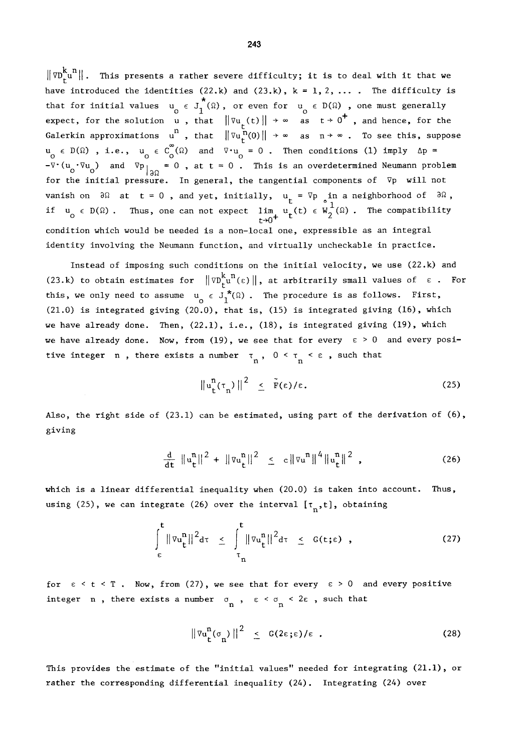$\|\nabla^{k}_{r}u^{n}\|$ . This presents a rather severe difficulty; it is to deal with it that we have introduced the identities (22.k) and (23.k),  $k = 1, 2, ...$ . The difficulty is that for initial values  $u_{\alpha} \in J_1(\Omega)$ , or even for  $u_{\alpha} \in D(\Omega)$  , one must generally expect, for the solution  $u$  , that  $\|\nabla u\|$  (t) $\|\nrightarrow \infty$  as  $t\rightarrow 0$  , and hence, for the Galerkin approximations  $u^n$ , that  $\|\nabla u_t^n(0)\| \to \infty$  as  $n \to \infty$ . To see this, suppose  $u_{\text{o}} \in D(\Omega)$  , i.e.,  $u_{\text{o}} \in C_{\text{o}}(\Omega)$  and  $\nabla \cdot u_{\text{o}} = 0$  . Then conditions (1) imply  $\Delta p$ -V $(u_{\alpha},\forall u_{\alpha})$  and  $\nabla p_{\alpha}=\{0\}$  at t =  $0$  . This is an overdetermined Neumann problem for the initial pressure. In general, the tangential components of  $\nabla$ p will not vanish on  $\partial\Omega$  at t =  $0$  , and yet, initially,  $u_{\perp}$  = Vp in a neighborhood of  $\partial\Omega$  , if  $u_{\delta} \in D(\Omega)$ . Thus, one can not expect lim  $u_{\epsilon}(t) \in W_2(\Omega)$ . The compatibility  $t \rightarrow 0^+$ condition which would be needed is a non-local one, expressible as an integral identity involving the Neumann function, and virtually uncheckable in practice.

Instead of imposing such conditions on the initial velocity, we use (22.k) and (23.k) to obtain estimates for  $\|\nabla v_{\mu}^{k,n}(\epsilon)\|$ , at arbitrarily small values of  $\epsilon$ . For this, we only need to assume  $u_{0} \in J^{\bullet}(\Omega)$  . The procedure is as follows. First, (21.0) is integrated giving (20.0), that is, (15) is integrated giving (16), which we have already done. Then, (22.1), i.e., (18), is integrated giving (19), which we have already done. Now, from (19), we see that for every  $\varepsilon > 0$  and every positive integer n, there exists a number  $\tau_n$ ,  $0 \leq \tau \leq \varepsilon$ , such that

$$
\|u_t^n(\tau_n)\|^2 \leq \tilde{F}(\varepsilon)/\varepsilon. \tag{25}
$$

Also, the right side of  $(23.1)$  can be estimated, using part of the derivation of  $(6)$ , giving

$$
\frac{d}{dt} \|u_t^n\|^2 + \|\nabla u_t^n\|^2 \leq c \|\nabla u^n\|^4 \|u_t^n\|^2 , \qquad (26)
$$

which is a linear differential inequality when (20.0) is taken into account. Thus, using (25), we can integrate (26) over the interval  $[\tau_n,t]$ , obtaining

$$
\int_{\epsilon}^{t} \|\nabla u_{t}^{n}\|^{2} d\tau \leq \int_{\tau_{n}}^{t} \|\nabla u_{t}^{n}\|^{2} d\tau \leq G(t;\epsilon) , \qquad (27)
$$

for  $\varepsilon < t < T$ . Now, from (27), we see that for every  $\varepsilon > 0$  and every positive integer **n** , there exists a number  $\sigma_n$  ,  $\epsilon < \sigma_n < 2\epsilon$  , such that

$$
\|\nabla u_t^n(\sigma_n)\|^2 \leq G(2\varepsilon;\varepsilon)/\varepsilon . \tag{28}
$$

This provides the estimate of the "initial values" needed for integrating (21.1), or rather the corresponding differential inequality (24). Integrating (24) over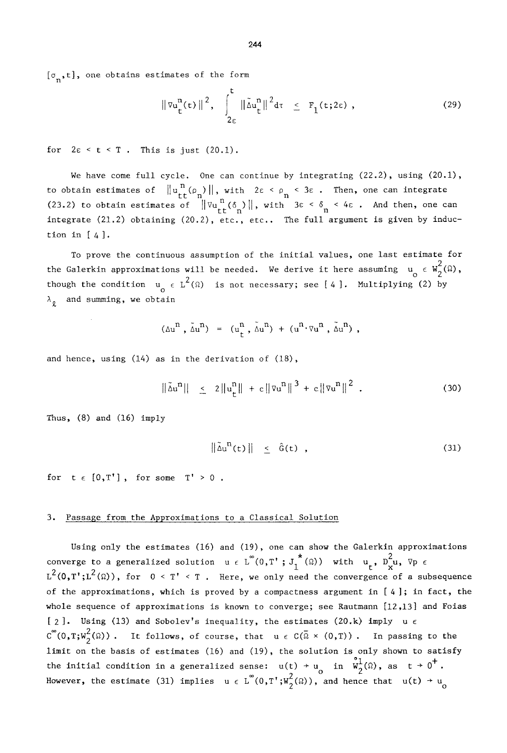$[\sigma_n,t]$ , one obtains estimates of the form

$$
\|\nabla u_t^n(t)\|^2, \quad \int_{2\epsilon}^t \|\tilde{\Delta} u_t^n\|^{2} d\tau \leq F_1(t; 2\epsilon) , \tag{29}
$$

for  $2\varepsilon < t < T$ . This is just  $(20.1)$ .

We have come full cycle. One can continue by integrating  $(22.2)$ , using  $(20.1)$ , to obtain estimates of  $\|u_{tt}^{n}(\rho_{n})\|$ , with  $2\varepsilon \leq \rho_{n} \leq 3\varepsilon$ . Then, one can integrate (23.2) to obtain estimates of  $\|\nabla u_t^n(\delta_n)\|$ , with  $3\epsilon < \delta_n < 4\epsilon$ . And then, one can integrate  $(21.2)$  obtaining  $(20.2)$ , etc., etc.. The full argument is given by induction in  $[4]$ .

To prove the continuous assumption of the initial values, one last estimate for the Galerkin approximations will be needed. We derive it here assuming  $u_{\alpha} \in W_2^2(\Omega)$ , though the condition  $u_{0} \in L^{-1}(\Omega)$  is not necessary; see [4]. Multiplying (2) by  $\lambda_{\theta}$  and summing, we obtain

$$
(\Delta u^n, \tilde{\Delta} u^n) = (u^n_t, \tilde{\Delta} u^n) + (u^n \cdot \nabla u^n, \tilde{\Delta} u^n),
$$

and hence, using (14) as in the derivation of (18),

$$
\|\tilde{\Delta} \mathbf{u}^{\mathbf{n}}\| \leq 2\|\mathbf{u}_{\mathbf{t}}^{\mathbf{n}}\| + c\|\nabla \mathbf{u}^{\mathbf{n}}\|^3 + c\|\nabla \mathbf{u}^{\mathbf{n}}\|^2. \tag{30}
$$

Thus, (8) and (16) imply

$$
\|\Delta u^{H}(t)\| \leq \hat{G}(t) , \qquad (31)
$$

for  $t \in [0,T']$ , for some  $T' > 0$ .

### 3. Passage from the Approximations to a Classical Solution

Using only the estimates (16) and (19), one can show the Galerkin approximations converge to a generalized solution  $u \in L^{\infty}(0,T^{\prime} ; J_{t}^{*}(\Omega))$  with  $u_{t}^{*}$ ,  $D_{x}^{2}u$ ,  $\nabla p \in$  $L^2(0,T';L^2(\Omega))$ , for  $0 < T' < T$ . Here, we only need the convergence of a subsequence of the approximations, which is proved by a compactness argument in  $[4]$ ; in fact, the whole sequence of approximations is known to converge; see Rautmann [12,13] and Foias [ 2 ]. Using (13) and Sobolev's inequality, the estimates (20.k) imply  $u \in$  $\tilde{C}^{\infty}(0,T;W_2^2(\Omega))$ . It follows, of course, that  $u \in C(\bar{\Omega} \times (0,T))$ . In passing to the limit on the basis of estimates (16) and (19), the solution is only shown to satisfy the initial condition in a generalized sense:  $u(t) + u_0$  in  $W_2^-(\Omega)$ , as  $t \to 0$ . However, the estimate (31) implies  $u \in L$  (0,T';W $_2^-(\Omega)$ ), and hence that  $u(t) \rightarrow u_{\overline{0}}$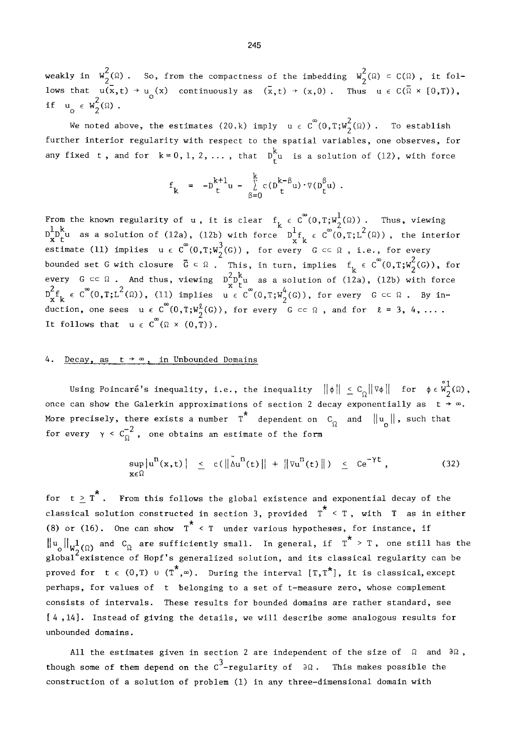weakly in  $W_{\alpha}(\Omega)$  . So, from the compactness of the imbedding  $W_{\alpha}(\Omega) \subset C(\Omega)$  , it follows that  $u(x,t) \doteq u_0(x)$  continuously as  $(x,t) \rightarrow (x,0)$ . Thus  $u \in C(\Omega \times [0,T))$ , if  $u_0 \in W_2^2(\Omega)$ .

We noted above, the estimates (20.k) imply  $u \in C^{\infty}(0,T;W_2^2(\Omega))$ . To establish further interior regularity with respect to the spatial variables, one observes, for any fixed t, and for  $k = 0, 1, 2, ...$ , that  $D_{t}^{\top}u$  is a solution of (12), with force

$$
f_k = -D_t^{k+1} u - \sum_{\beta=0}^k c(D_t^{k-\beta} u) \cdot \nabla(D_t^{\beta} u) .
$$

From the known regularity of **u** , it is clear f,  $\epsilon$  C  $(0,T;W^1_\alpha(\Omega))$  . Thus, viewing  $\mathbb{D}^{1}\mathbb{D}^{k}_{\mathsf{L}}$ u as a solution of (12a), (12b) with force  $\mathbb{D}^{1}\mathsf{f},~\epsilon~\mathbb{C}^{\infty}(\overset{\circ}{0},\mathsf{T};\mathsf{L}^2(\Omega))$ , the interior estimate (ll) implies  $u \in C^-(0,T;W_\alpha^-(G))$  , for every  $G \subset \Omega$  , i.e., for every bounded set G with closure  $\bar{G} \subset \Omega$  . This, in turn, implies  $f_{k} \in C^{\infty}(0,T;W_{2}^{2}(G))$ , for every  $G \subseteq \Omega$  . And thus, viewing  $D^{\circ}D^{\circ}u$  as a solution of (12a), (12b) with force  $2$ D\_t,  $\epsilon$  C (0,T;L (Ω)), (ll) implies  $u \; \epsilon$  C (0,T;W<sub>a</sub>(G)), for every  $G \subset \Omega$  . By induction, one sees  $u \in C^{\infty}(0,T;W_2^{\ell}(G))$ , for every  $G \subset \Omega$ , and for  $\ell = 3, 4, ...$ . It follows that  $u \in C^{\infty}(\Omega \times (0,T))$ .

## 4. Decay, as  $t + \infty$ , in Unbounded Domains

Using Poincaré's inequality, i.e., the inequality  $\|\phi\| \leq C_0 \|\nabla \phi\|$  for  $\phi \in \mathring{w}^1_2(\Omega)$ , once can show the Galerkin approximations of section 2 decay exponentially as  $t \rightarrow \infty$ . More precisely, there exists a number  $T^*$  dependent on  $C_{\Omega}$  and  $\|u_{\Omega}\|$ , such that for every  $\gamma < c_{\Omega}^{-2}$ , one obtains an estimate of the form

$$
\sup_{x \in \Omega} |u^n(x,t)| \leq c(||\tilde{\Delta}u^n(t)|| + ||\nabla u^n(t)||) \leq Ce^{-\gamma t}, \qquad (32)
$$

for  $t \geq T^*$ . From this follows the global existence and exponential decay of the classical solution constructed in section 3, provided  $T^* < T$ , with T as in either (8) or (16). One can show  $T^*$  < T under various hypotheses, for instance, if  $||u_{0}||_{W_{0}^{1}(\Omega)}$  and  $C_{\Omega}$  are sufficiently small. In general, if  $T^* > T$ , one still has the  $10^{12}$  existence of Hopf's generalized solution, and its classical regularity can be proved for  $t \in (0,T)$  u  $(T^*,\infty)$ . During the interval  $[T,T^*]$ , it is classical, except perhaps, for values of t belonging to a set of t-measure zero, whose complement consists of intervals. These results for bounded domains are rather standard, see [4 ,14]. Instead of giving the details, we will describe some analogous results for unbounded domains.

All the estimates given in section 2 are independent of the size of  $\Omega$  and  $\partial\Omega$ , though some of them depend on the  $C^3$ -regularity of  $\partial \Omega$ . This makes possible the construction of a solution of problem (I) in any three-dimensional domain with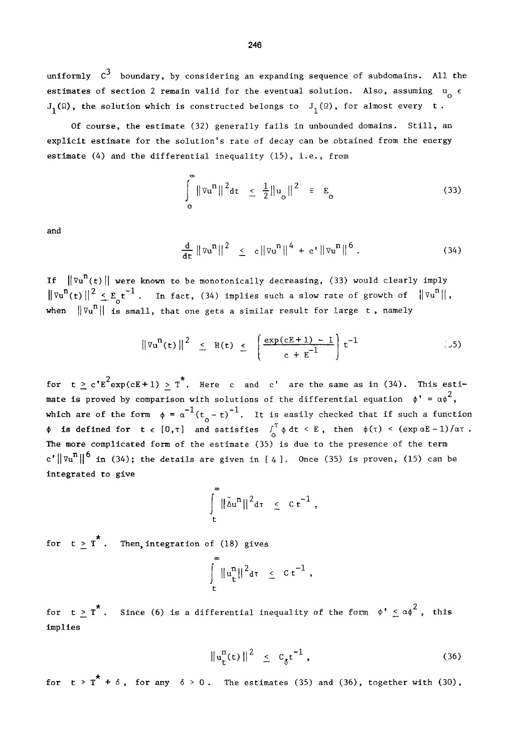uniformly  $c^3$  boundary, by considering an expanding sequence of subdomains. All the estimates of section 2 remain valid for the eventual solution. Also, assuming  $\mathsf{u}_{\mathsf{O}}^{\mathsf{}}$   $\epsilon$  $J_1(\Omega)$ , the solution which is constructed belongs to  $J_1(\Omega)$ , for almost every t.

Of course, the estimate (32) generally fails in unbounded domains. Still, an explicit estimate for the solution's rate of decay can be obtained from the energy estimate (4) and the differential inequality (15), i.e., from

$$
\int_{0}^{1} \|\nabla u^{n}\|^{2} dt \leq \frac{1}{2} \|u_{0}\|^{2} \equiv E_{0}
$$
 (33)

and

$$
\frac{d}{dt} \|\nabla u^n\|^2 \leq c \|\nabla u^n\|^4 + c' \|\nabla u^n\|^6.
$$
 (34)

If  $\|\nabla u^n(t)\|$  were known to be monotonically decreasing, (33) would clearly imply  $\|\nabla u^n(t)\|^2 \leq E_c t^{-1}$ . In fact, (34) implies such a slow rate of growth of  $\|\nabla u^n\|$ , when  $\|\nabla u^n\|$  is small, that one gets a similar result for large t, namely

$$
\|\nabla u^{n}(t)\|^{2} \leq H(t) \leq \left[\frac{\exp(cE+1)-1}{c+E^{-1}}\right]t^{-1} \qquad (55)
$$

for  $t \ge c' E^2 exp(cE+1) > T^*$ . Here c and c' are the same as in (34). This estimate is proved by comparison with solutions of the differential equation  $\phi' = \alpha \phi^2$ , which are of the form  $\phi = \alpha^{-1}(t_0 - t)^{-1}$ . It is easily checked that if such a function is defined for t  $\epsilon$  [0, t] and satisfies  $\int_0^{\pi} \phi \, dt \leq E$ , then  $\phi(\tau) \leq (\exp \alpha E - 1)/\alpha \tau$ . The more complicated form of the estimate (35) is due to the presence of the term  $c' \|\nabla u^n\|^6$  in (34); the details are given in [4]. Once (35) is proven, (15) can be integrated to give

$$
\int\limits_t^\infty \|\tilde\Delta u^n\|^2d\tau\ \leq\ c\ \epsilon^{-1}\ ,
$$

for  $t \geq T^*$ . Then, integration of (18) gives

$$
\int\limits_t^\infty \|u_t^n\|^2 d\tau \leq C t^{-1},
$$

for t > T<sup>\*</sup>. Since (6) is a differential inequality of the form  $\phi^* \leq \alpha \phi^2$ , this **implies** 

$$
||u_t^n(t)||^2 \leq c_\delta t^{-1}, \qquad (36)
$$

for  $t > T^* + \delta$ , for any  $\delta > 0$ . The estimates (35) and (36), together with (30),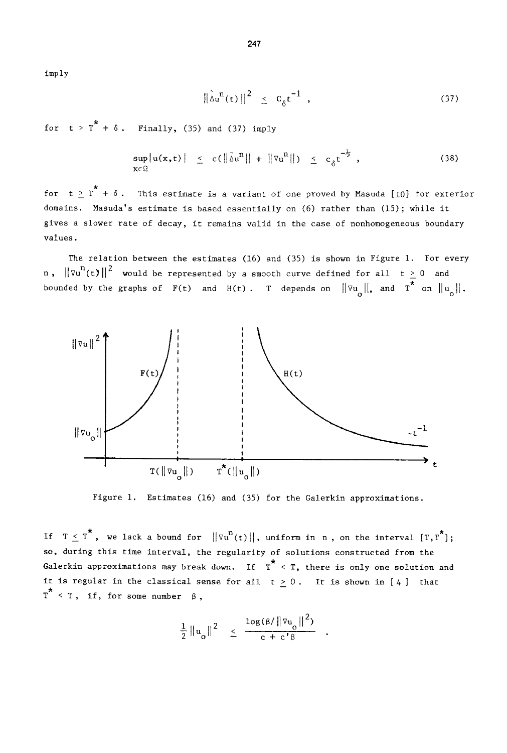imply

$$
\left\|\tilde{\Delta} \mathbf{u}^{\mathrm{n}}(\mathbf{t})\right\|^2 \leq C_{\delta} \mathbf{t}^{-1} \quad , \tag{37}
$$

for  $t > T^* + \delta$ . Finally, (35) and (37) imply

$$
\sup_{\mathbf{x}\in\Omega}|u(\mathbf{x},t)| \leq c(\|\tilde{\Delta}u^n\| + \|\nabla u^n\|) \leq c_\delta t^{-\frac{1}{2}}, \qquad (38)
$$

for  $t \geq T^* + \delta$ . This estimate is a variant of one proved by Masuda [10] for exterior domains. Masuda's estimate is based essentially on (6) rather than (15); while it gives a slower rate of decay, it remains valid in the case of nonhomogeneous boundary values.

The relation between the estimates  $(16)$  and  $(35)$  is shown in Figure 1. For every n,  $\|\nabla u^n(t)\|^2$  would be represented by a smooth curve defined for all  $t \geq 0$  and bounded by the graphs of  $F(t)$  and  $H(t)$ . T depends on  $\|\nabla u_{o}\|$ , and  $T^*$  on  $\|u_{o}\|$ .



Figure i. Estimates (16) and (35) for the Galerkin approximations.

If  $T \leq T^*$ , we lack a bound for  $\|\nabla u^n(t)\|$ , uniform in n, on the interval  $[T, T^*]$ ; so, during this time interval, the regularity of solutions constructed from the Galerkin approximations may break down. If  $T^*$  < T, there is only one solution and it is regular in the classical sense for all  $t \ge 0$ . It is shown in [4] that  $T^*$  < T, if, for some number  $\beta$ ,

$$
\frac{1}{2} \left\| \mathbf{u}_o \right\|^2 \leq \frac{\log(\beta/\left\| \nabla \mathbf{u}_o \right\|^2)}{c + c^{\prime} \beta}
$$